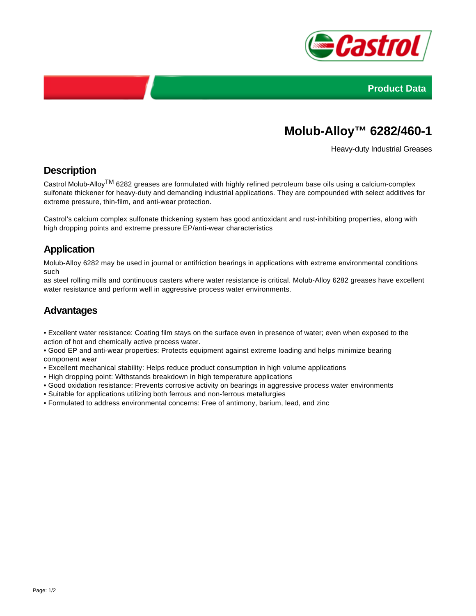



# **Molub-Alloy™ 6282/460-1**

Heavy-duty Industrial Greases

#### **Description**

Castrol Molub-AlloyTM 6282 greases are formulated with highly refined petroleum base oils using a calcium-complex sulfonate thickener for heavy-duty and demanding industrial applications. They are compounded with select additives for extreme pressure, thin-film, and anti-wear protection.

Castrol's calcium complex sulfonate thickening system has good antioxidant and rust-inhibiting properties, along with high dropping points and extreme pressure EP/anti-wear characteristics

## **Application**

Molub-Alloy 6282 may be used in journal or antifriction bearings in applications with extreme environmental conditions such

as steel rolling mills and continuous casters where water resistance is critical. Molub-Alloy 6282 greases have excellent water resistance and perform well in aggressive process water environments.

#### **Advantages**

• Excellent water resistance: Coating film stays on the surface even in presence of water; even when exposed to the action of hot and chemically active process water.

• Good EP and anti-wear properties: Protects equipment against extreme loading and helps minimize bearing component wear

- Excellent mechanical stability: Helps reduce product consumption in high volume applications
- High dropping point: Withstands breakdown in high temperature applications
- Good oxidation resistance: Prevents corrosive activity on bearings in aggressive process water environments
- Suitable for applications utilizing both ferrous and non-ferrous metallurgies
- Formulated to address environmental concerns: Free of antimony, barium, lead, and zinc